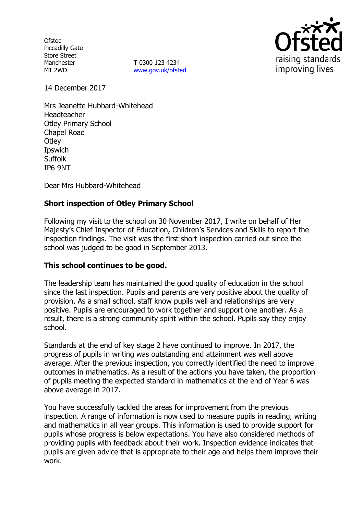**Ofsted** Piccadilly Gate Store Street Manchester M1 2WD

**T** 0300 123 4234 www.gov.uk/ofsted



14 December 2017

Mrs Jeanette Hubbard-Whitehead Headteacher Otley Primary School Chapel Road **Otley** Ipswich **Suffolk** IP6 9NT

Dear Mrs Hubbard-Whitehead

# **Short inspection of Otley Primary School**

Following my visit to the school on 30 November 2017, I write on behalf of Her Majesty's Chief Inspector of Education, Children's Services and Skills to report the inspection findings. The visit was the first short inspection carried out since the school was judged to be good in September 2013.

#### **This school continues to be good.**

The leadership team has maintained the good quality of education in the school since the last inspection. Pupils and parents are very positive about the quality of provision. As a small school, staff know pupils well and relationships are very positive. Pupils are encouraged to work together and support one another. As a result, there is a strong community spirit within the school. Pupils say they enjoy school.

Standards at the end of key stage 2 have continued to improve. In 2017, the progress of pupils in writing was outstanding and attainment was well above average. After the previous inspection, you correctly identified the need to improve outcomes in mathematics. As a result of the actions you have taken, the proportion of pupils meeting the expected standard in mathematics at the end of Year 6 was above average in 2017.

You have successfully tackled the areas for improvement from the previous inspection. A range of information is now used to measure pupils in reading, writing and mathematics in all year groups. This information is used to provide support for pupils whose progress is below expectations. You have also considered methods of providing pupils with feedback about their work. Inspection evidence indicates that pupils are given advice that is appropriate to their age and helps them improve their work.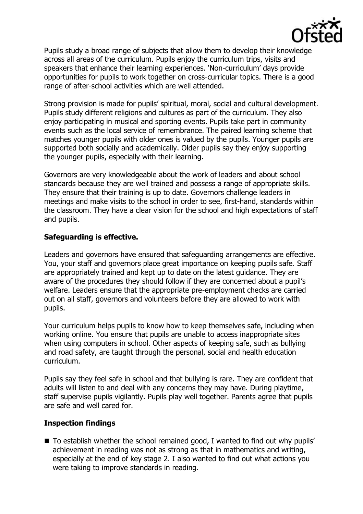

Pupils study a broad range of subjects that allow them to develop their knowledge across all areas of the curriculum. Pupils enjoy the curriculum trips, visits and speakers that enhance their learning experiences. 'Non-curriculum' days provide opportunities for pupils to work together on cross-curricular topics. There is a good range of after-school activities which are well attended.

Strong provision is made for pupils' spiritual, moral, social and cultural development. Pupils study different religions and cultures as part of the curriculum. They also enjoy participating in musical and sporting events. Pupils take part in community events such as the local service of remembrance. The paired learning scheme that matches younger pupils with older ones is valued by the pupils. Younger pupils are supported both socially and academically. Older pupils say they enjoy supporting the younger pupils, especially with their learning.

Governors are very knowledgeable about the work of leaders and about school standards because they are well trained and possess a range of appropriate skills. They ensure that their training is up to date. Governors challenge leaders in meetings and make visits to the school in order to see, first-hand, standards within the classroom. They have a clear vision for the school and high expectations of staff and pupils.

### **Safeguarding is effective.**

Leaders and governors have ensured that safeguarding arrangements are effective. You, your staff and governors place great importance on keeping pupils safe. Staff are appropriately trained and kept up to date on the latest guidance. They are aware of the procedures they should follow if they are concerned about a pupil's welfare. Leaders ensure that the appropriate pre-employment checks are carried out on all staff, governors and volunteers before they are allowed to work with pupils.

Your curriculum helps pupils to know how to keep themselves safe, including when working online. You ensure that pupils are unable to access inappropriate sites when using computers in school. Other aspects of keeping safe, such as bullying and road safety, are taught through the personal, social and health education curriculum.

Pupils say they feel safe in school and that bullying is rare. They are confident that adults will listen to and deal with any concerns they may have. During playtime, staff supervise pupils vigilantly. Pupils play well together. Parents agree that pupils are safe and well cared for.

#### **Inspection findings**

■ To establish whether the school remained good, I wanted to find out why pupils' achievement in reading was not as strong as that in mathematics and writing, especially at the end of key stage 2. I also wanted to find out what actions you were taking to improve standards in reading.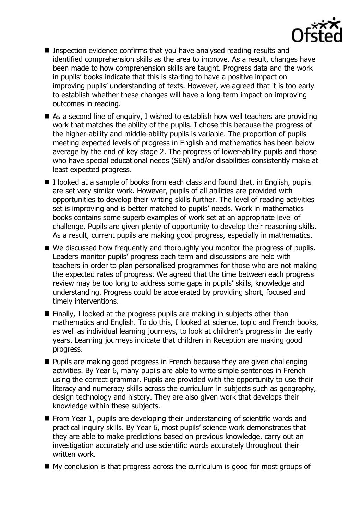

- Inspection evidence confirms that you have analysed reading results and identified comprehension skills as the area to improve. As a result, changes have been made to how comprehension skills are taught. Progress data and the work in pupils' books indicate that this is starting to have a positive impact on improving pupils' understanding of texts. However, we agreed that it is too early to establish whether these changes will have a long-term impact on improving outcomes in reading.
- As a second line of enquiry, I wished to establish how well teachers are providing work that matches the ability of the pupils. I chose this because the progress of the higher-ability and middle-ability pupils is variable. The proportion of pupils meeting expected levels of progress in English and mathematics has been below average by the end of key stage 2. The progress of lower-ability pupils and those who have special educational needs (SEN) and/or disabilities consistently make at least expected progress.
- $\blacksquare$  I looked at a sample of books from each class and found that, in English, pupils are set very similar work. However, pupils of all abilities are provided with opportunities to develop their writing skills further. The level of reading activities set is improving and is better matched to pupils' needs. Work in mathematics books contains some superb examples of work set at an appropriate level of challenge. Pupils are given plenty of opportunity to develop their reasoning skills. As a result, current pupils are making good progress, especially in mathematics.
- We discussed how frequently and thoroughly you monitor the progress of pupils. Leaders monitor pupils' progress each term and discussions are held with teachers in order to plan personalised programmes for those who are not making the expected rates of progress. We agreed that the time between each progress review may be too long to address some gaps in pupils' skills, knowledge and understanding. Progress could be accelerated by providing short, focused and timely interventions.
- $\blacksquare$  Finally, I looked at the progress pupils are making in subjects other than mathematics and English. To do this, I looked at science, topic and French books, as well as individual learning journeys, to look at children's progress in the early years. Learning journeys indicate that children in Reception are making good progress.
- **Pupils are making good progress in French because they are given challenging** activities. By Year 6, many pupils are able to write simple sentences in French using the correct grammar. Pupils are provided with the opportunity to use their literacy and numeracy skills across the curriculum in subjects such as geography, design technology and history. They are also given work that develops their knowledge within these subjects.
- From Year 1, pupils are developing their understanding of scientific words and practical inquiry skills. By Year 6, most pupils' science work demonstrates that they are able to make predictions based on previous knowledge, carry out an investigation accurately and use scientific words accurately throughout their written work.
- My conclusion is that progress across the curriculum is good for most groups of